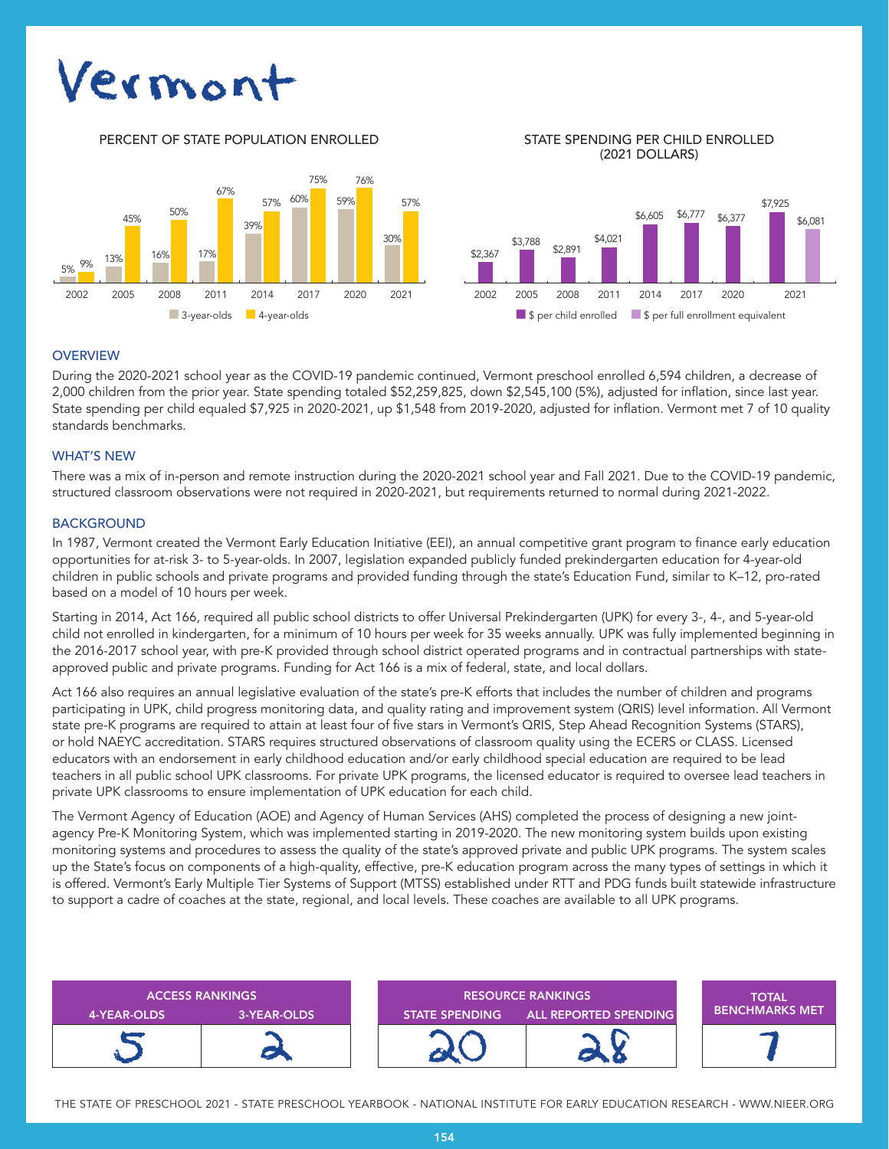# Vermor

PERCENT OF STATE POPULATION ENROLLED STATE SPENDING PER CHILD ENROLLED



(2021 DOLLARS)



## **OVERVIEW**

During the 2020-2021 school year as the COVID-19 pandemic continued, Vermont preschool enrolled 6,594 children, a decrease of 2,000 children from the prior year. State spending totaled \$52,259,825, down \$2,545,100 (5%), adjusted for inflation, since last year. State spending per child equaled \$7,925 in 2020-2021, up \$1,548 from 2019-2020, adjusted for inflation. Vermont met 7 of 10 quality standards benchmarks.

## WHAT'S NEW

There was a mix of in-person and remote instruction during the 2020-2021 school year and Fall 2021. Due to the COVID-19 pandemic, structured classroom observations were not required in 2020-2021, but requirements returned to normal during 2021-2022.

## **BACKGROUND**

In 1987, Vermont created the Vermont Early Education Initiative (EEI), an annual competitive grant program to finance early education opportunities for at-risk 3- to 5-year-olds. In 2007, legislation expanded publicly funded prekindergarten education for 4-year-old children in public schools and private programs and provided funding through the state's Education Fund, similar to K–12, pro-rated based on a model of 10 hours per week.

Starting in 2014, Act 166, required all public school districts to offer Universal Prekindergarten (UPK) for every 3-, 4-, and 5-year-old child not enrolled in kindergarten, for a minimum of 10 hours per week for 35 weeks annually. UPK was fully implemented beginning in the 2016-2017 school year, with pre-K provided through school district operated programs and in contractual partnerships with stateapproved public and private programs. Funding for Act 166 is a mix of federal, state, and local dollars.

Act 166 also requires an annual legislative evaluation of the state's pre-K efforts that includes the number of children and programs participating in UPK, child progress monitoring data, and quality rating and improvement system (QRIS) level information. All Vermont state pre-K programs are required to attain at least four of five stars in Vermont's QRIS, Step Ahead Recognition Systems (STARS), or hold NAEYC accreditation. STARS requires structured observations of classroom quality using the ECERS or CLASS. Licensed educators with an endorsement in early childhood education and/or early childhood special education are required to be lead teachers in all public school UPK classrooms. For private UPK programs, the licensed educator is required to oversee lead teachers in private UPK classrooms to ensure implementation of UPK education for each child.

The Vermont Agency of Education (AOE) and Agency of Human Services (AHS) completed the process of designing a new jointagency Pre-K Monitoring System, which was implemented starting in 2019-2020. The new monitoring system builds upon existing monitoring systems and procedures to assess the quality of the state's approved private and public UPK programs. The system scales up the State's focus on components of a high-quality, effective, pre-K education program across the many types of settings in which it is offered. Vermont's Early Multiple Tier Systems of Support (MTSS) established under RTT and PDG funds built statewide infrastructure to support a cadre of coaches at the state, regional, and local levels. These coaches are available to all UPK programs.

| <b>ACCESS RANKINGS</b> |             | <b>RESOURCE RANKINGS</b> |                              | <b>TOTAL</b>          |
|------------------------|-------------|--------------------------|------------------------------|-----------------------|
| 4-YEAR-OLDS            | 3-YEAR-OLDS | <b>STATE SPENDING</b>    | <b>ALL REPORTED SPENDING</b> | <b>BENCHMARKS MET</b> |
|                        |             |                          |                              |                       |

THE STATE OF PRESCHOOL 2021 - STATE PRESCHOOL YEARBOOK - NATIONAL INSTITUTE FOR EARLY EDUCATION RESEARCH - WWW.NIEER.ORG